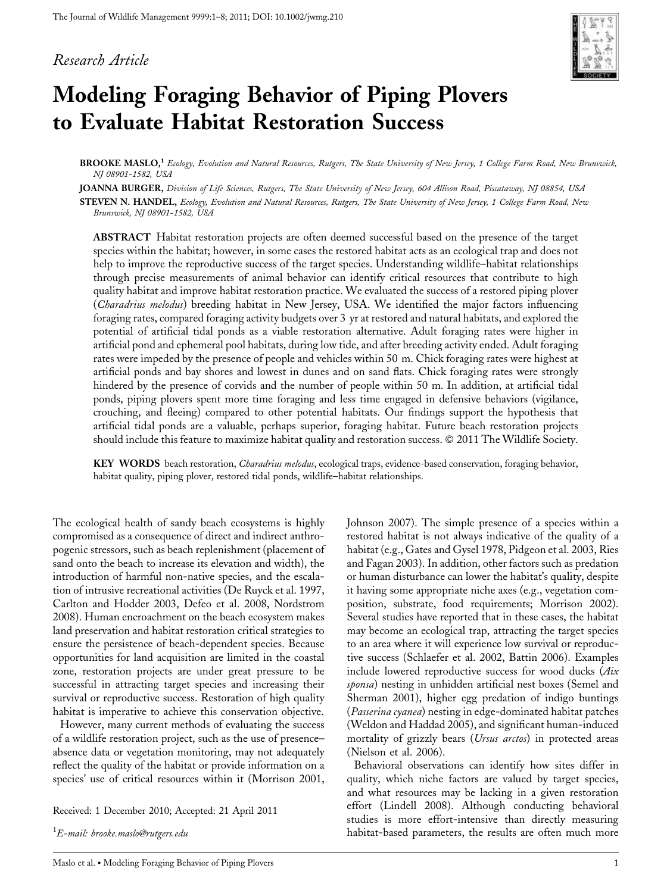# Research Article



# Modeling Foraging Behavior of Piping Plovers to Evaluate Habitat Restoration Success

BROOKE MASLO,<sup>1</sup> Ecology, Evolution and Natural Resources, Rutgers, The State University of New Jersey, 1 College Farm Road, New Brunswick, NJ 08901-1582, USA

JOANNA BURGER, Division of Life Sciences, Rutgers, The State University of New Jersey, 604 Allison Road, Piscataway, NJ 08854, USA

STEVEN N. HANDEL, Ecology, Evolution and Natural Resources, Rutgers, The State University of New Jersey, 1 College Farm Road, New Brunswick, NJ 08901-1582, USA

ABSTRACT Habitat restoration projects are often deemed successful based on the presence of the target species within the habitat; however, in some cases the restored habitat acts as an ecological trap and does not help to improve the reproductive success of the target species. Understanding wildlife–habitat relationships through precise measurements of animal behavior can identify critical resources that contribute to high quality habitat and improve habitat restoration practice. We evaluated the success of a restored piping plover (Charadrius melodus) breeding habitat in New Jersey, USA. We identified the major factors influencing foraging rates, compared foraging activity budgets over 3 yr at restored and natural habitats, and explored the potential of artificial tidal ponds as a viable restoration alternative. Adult foraging rates were higher in artificial pond and ephemeral pool habitats, during low tide, and after breeding activity ended. Adult foraging rates were impeded by the presence of people and vehicles within 50 m. Chick foraging rates were highest at artificial ponds and bay shores and lowest in dunes and on sand flats. Chick foraging rates were strongly hindered by the presence of corvids and the number of people within 50 m. In addition, at artificial tidal ponds, piping plovers spent more time foraging and less time engaged in defensive behaviors (vigilance, crouching, and fleeing) compared to other potential habitats. Our findings support the hypothesis that artificial tidal ponds are a valuable, perhaps superior, foraging habitat. Future beach restoration projects should include this feature to maximize habitat quality and restoration success. © 2011 The Wildlife Society.

KEY WORDS beach restoration, *Charadrius melodus*, ecological traps, evidence-based conservation, foraging behavior, habitat quality, piping plover, restored tidal ponds, wildlife–habitat relationships.

The ecological health of sandy beach ecosystems is highly compromised as a consequence of direct and indirect anthropogenic stressors, such as beach replenishment (placement of sand onto the beach to increase its elevation and width), the introduction of harmful non-native species, and the escalation of intrusive recreational activities (De Ruyck et al. 1997, Carlton and Hodder 2003, Defeo et al. 2008, Nordstrom 2008). Human encroachment on the beach ecosystem makes land preservation and habitat restoration critical strategies to ensure the persistence of beach-dependent species. Because opportunities for land acquisition are limited in the coastal zone, restoration projects are under great pressure to be successful in attracting target species and increasing their survival or reproductive success. Restoration of high quality habitat is imperative to achieve this conservation objective.

However, many current methods of evaluating the success of a wildlife restoration project, such as the use of presence– absence data or vegetation monitoring, may not adequately reflect the quality of the habitat or provide information on a species' use of critical resources within it (Morrison 2001,

Received: 1 December 2010; Accepted: 21 April 2011

 $^1\!E$ –mail: brooke.maslo@rutgers.edu

Johnson 2007). The simple presence of a species within a restored habitat is not always indicative of the quality of a habitat (e.g., Gates and Gysel 1978, Pidgeon et al. 2003, Ries and Fagan 2003). In addition, other factors such as predation or human disturbance can lower the habitat's quality, despite it having some appropriate niche axes (e.g., vegetation composition, substrate, food requirements; Morrison 2002). Several studies have reported that in these cases, the habitat may become an ecological trap, attracting the target species to an area where it will experience low survival or reproductive success (Schlaefer et al. 2002, Battin 2006). Examples include lowered reproductive success for wood ducks (Aix sponsa) nesting in unhidden artificial nest boxes (Semel and Sherman 2001), higher egg predation of indigo buntings (Passerina cyanea) nesting in edge-dominated habitat patches (Weldon and Haddad 2005), and significant human-induced mortality of grizzly bears (Ursus arctos) in protected areas (Nielson et al. 2006).

Behavioral observations can identify how sites differ in quality, which niche factors are valued by target species, and what resources may be lacking in a given restoration effort (Lindell 2008). Although conducting behavioral studies is more effort-intensive than directly measuring habitat-based parameters, the results are often much more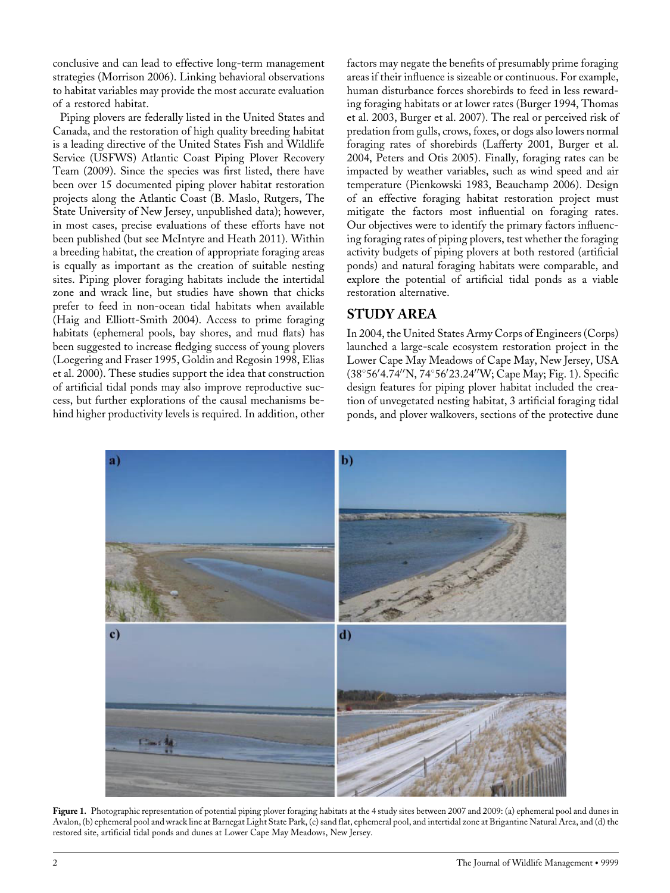conclusive and can lead to effective long-term management strategies (Morrison 2006). Linking behavioral observations to habitat variables may provide the most accurate evaluation of a restored habitat.

Piping plovers are federally listed in the United States and Canada, and the restoration of high quality breeding habitat is a leading directive of the United States Fish and Wildlife Service (USFWS) Atlantic Coast Piping Plover Recovery Team (2009). Since the species was first listed, there have been over 15 documented piping plover habitat restoration projects along the Atlantic Coast (B. Maslo, Rutgers, The State University of New Jersey, unpublished data); however, in most cases, precise evaluations of these efforts have not been published (but see McIntyre and Heath 2011). Within a breeding habitat, the creation of appropriate foraging areas is equally as important as the creation of suitable nesting sites. Piping plover foraging habitats include the intertidal zone and wrack line, but studies have shown that chicks prefer to feed in non-ocean tidal habitats when available (Haig and Elliott-Smith 2004). Access to prime foraging habitats (ephemeral pools, bay shores, and mud flats) has been suggested to increase fledging success of young plovers (Loegering and Fraser 1995, Goldin and Regosin 1998, Elias et al. 2000). These studies support the idea that construction of artificial tidal ponds may also improve reproductive success, but further explorations of the causal mechanisms behind higher productivity levels is required. In addition, other

factors may negate the benefits of presumably prime foraging areas if their influence is sizeable or continuous. For example, human disturbance forces shorebirds to feed in less rewarding foraging habitats or at lower rates (Burger 1994, Thomas et al. 2003, Burger et al. 2007). The real or perceived risk of predation from gulls, crows, foxes, or dogs also lowers normal foraging rates of shorebirds (Lafferty 2001, Burger et al. 2004, Peters and Otis 2005). Finally, foraging rates can be impacted by weather variables, such as wind speed and air temperature (Pienkowski 1983, Beauchamp 2006). Design of an effective foraging habitat restoration project must mitigate the factors most influential on foraging rates. Our objectives were to identify the primary factors influencing foraging rates of piping plovers, test whether the foraging activity budgets of piping plovers at both restored (artificial ponds) and natural foraging habitats were comparable, and explore the potential of artificial tidal ponds as a viable restoration alternative.

# STUDY AREA

In 2004, the United States Army Corps of Engineers (Corps) launched a large-scale ecosystem restoration project in the Lower Cape May Meadows of Cape May, New Jersey, USA (38°56′4.74′′N, 74°56′23.24′′W; Cape May; Fig. 1). Specific design features for piping plover habitat included the creation of unvegetated nesting habitat, 3 artificial foraging tidal ponds, and plover walkovers, sections of the protective dune



Figure 1. Photographic representation of potential piping plover foraging habitats at the 4 study sites between 2007 and 2009: (a) ephemeral pool and dunes in Avalon, (b) ephemeral pool and wrack line at Barnegat Light State Park, (c) sand flat, ephemeral pool, and intertidal zone at Brigantine Natural Area, and (d) the restored site, artificial tidal ponds and dunes at Lower Cape May Meadows, New Jersey.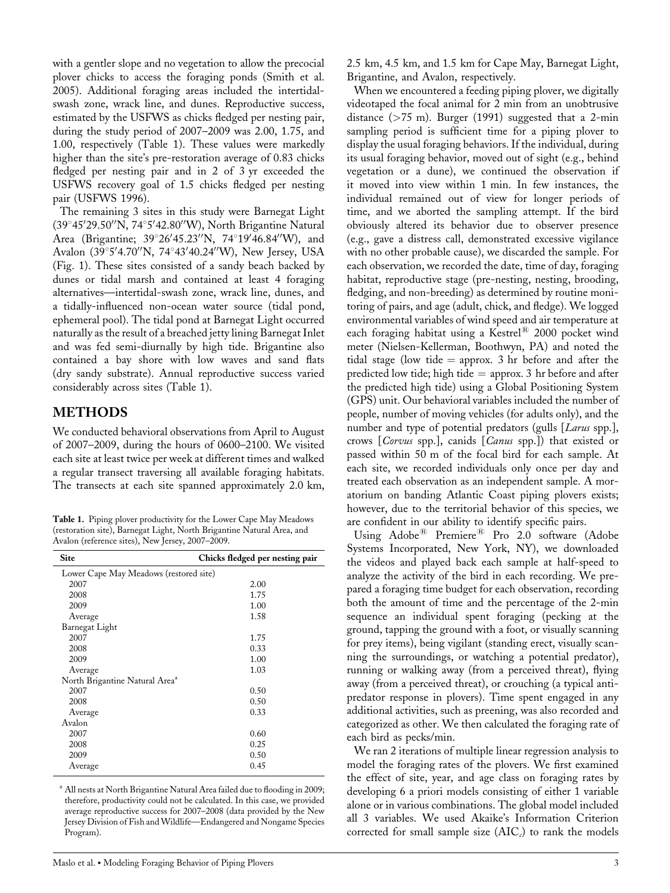with a gentler slope and no vegetation to allow the precocial plover chicks to access the foraging ponds (Smith et al. 2005). Additional foraging areas included the intertidalswash zone, wrack line, and dunes. Reproductive success, estimated by the USFWS as chicks fledged per nesting pair, during the study period of 2007–2009 was 2.00, 1.75, and 1.00, respectively (Table 1). These values were markedly higher than the site's pre-restoration average of 0.83 chicks fledged per nesting pair and in 2 of 3 yr exceeded the USFWS recovery goal of 1.5 chicks fledged per nesting pair (USFWS 1996).

The remaining 3 sites in this study were Barnegat Light (39°45′29.50′N, 74°5′42.80′′W), North Brigantine Natural Area (Brigantine; 39°26'45.23"N, 74°19'46.84"W), and Avalon (39°5′4.70′′N, 74°43′40.24′′W), New Jersey, USA (Fig. 1). These sites consisted of a sandy beach backed by dunes or tidal marsh and contained at least 4 foraging alternatives—intertidal-swash zone, wrack line, dunes, and a tidally-influenced non-ocean water source (tidal pond, ephemeral pool). The tidal pond at Barnegat Light occurred naturally as the result of a breached jetty lining Barnegat Inlet and was fed semi-diurnally by high tide. Brigantine also contained a bay shore with low waves and sand flats (dry sandy substrate). Annual reproductive success varied considerably across sites (Table 1).

## METHODS

We conducted behavioral observations from April to August of 2007–2009, during the hours of 0600–2100. We visited each site at least twice per week at different times and walked a regular transect traversing all available foraging habitats. The transects at each site spanned approximately 2.0 km,

Table 1. Piping plover productivity for the Lower Cape May Meadows (restoration site), Barnegat Light, North Brigantine Natural Area, and Avalon (reference sites), New Jersey, 2007–2009.

| <b>Site</b>                                | Chicks fledged per nesting pair |  |  |  |
|--------------------------------------------|---------------------------------|--|--|--|
| Lower Cape May Meadows (restored site)     |                                 |  |  |  |
| 2007                                       | 2.00                            |  |  |  |
| 2008                                       | 1.75                            |  |  |  |
| 2009                                       | 1.00                            |  |  |  |
| Average                                    | 1.58                            |  |  |  |
| Barnegat Light                             |                                 |  |  |  |
| 2007                                       | 1.75                            |  |  |  |
| 2008                                       | 0.33                            |  |  |  |
| 2009                                       | 1.00                            |  |  |  |
| Average                                    | 1.03                            |  |  |  |
| North Brigantine Natural Area <sup>a</sup> |                                 |  |  |  |
| 2007                                       | 0.50                            |  |  |  |
| 2008                                       | 0.50                            |  |  |  |
| Average                                    | 0.33                            |  |  |  |
| Avalon                                     |                                 |  |  |  |
| 2007                                       | 0.60                            |  |  |  |
| 2008                                       | 0.25                            |  |  |  |
| 2009                                       | 0.50                            |  |  |  |
| Average                                    | 0.45                            |  |  |  |

<sup>a</sup> All nests at North Brigantine Natural Area failed due to flooding in 2009; therefore, productivity could not be calculated. In this case, we provided average reproductive success for 2007–2008 (data provided by the New Jersey Division of Fish and Wildlife—Endangered and Nongame Species Program).

2.5 km, 4.5 km, and 1.5 km for Cape May, Barnegat Light, Brigantine, and Avalon, respectively.

When we encountered a feeding piping plover, we digitally videotaped the focal animal for 2 min from an unobtrusive distance  $($ >75 m). Burger (1991) suggested that a 2-min sampling period is sufficient time for a piping plover to display the usual foraging behaviors. If the individual, during its usual foraging behavior, moved out of sight (e.g., behind vegetation or a dune), we continued the observation if it moved into view within 1 min. In few instances, the individual remained out of view for longer periods of time, and we aborted the sampling attempt. If the bird obviously altered its behavior due to observer presence (e.g., gave a distress call, demonstrated excessive vigilance with no other probable cause), we discarded the sample. For each observation, we recorded the date, time of day, foraging habitat, reproductive stage (pre-nesting, nesting, brooding, fledging, and non-breeding) as determined by routine monitoring of pairs, and age (adult, chick, and fledge). We logged environmental variables of wind speed and air temperature at each foraging habitat using a Kestrel® 2000 pocket wind meter (Nielsen-Kellerman, Boothwyn, PA) and noted the tidal stage (low tide  $=$  approx. 3 hr before and after the predicted low tide; high tide  $=$  approx. 3 hr before and after the predicted high tide) using a Global Positioning System (GPS) unit. Our behavioral variables included the number of people, number of moving vehicles (for adults only), and the number and type of potential predators (gulls [Larus spp.], crows [Corvus spp.], canids [Canus spp.]) that existed or passed within 50 m of the focal bird for each sample. At each site, we recorded individuals only once per day and treated each observation as an independent sample. A moratorium on banding Atlantic Coast piping plovers exists; however, due to the territorial behavior of this species, we are confident in our ability to identify specific pairs.

Using  $\text{Adobe}^{\textcircled{\tiny{\textregistered}}}$  Premiere<sup>®</sup> Pro 2.0 software (Adobe Systems Incorporated, New York, NY), we downloaded the videos and played back each sample at half-speed to analyze the activity of the bird in each recording. We prepared a foraging time budget for each observation, recording both the amount of time and the percentage of the 2-min sequence an individual spent foraging (pecking at the ground, tapping the ground with a foot, or visually scanning for prey items), being vigilant (standing erect, visually scanning the surroundings, or watching a potential predator), running or walking away (from a perceived threat), flying away (from a perceived threat), or crouching (a typical antipredator response in plovers). Time spent engaged in any additional activities, such as preening, was also recorded and categorized as other. We then calculated the foraging rate of each bird as pecks/min.

We ran 2 iterations of multiple linear regression analysis to model the foraging rates of the plovers. We first examined the effect of site, year, and age class on foraging rates by developing 6 a priori models consisting of either 1 variable alone or in various combinations. The global model included all 3 variables. We used Akaike's Information Criterion corrected for small sample size  $(AIC<sub>c</sub>)$  to rank the models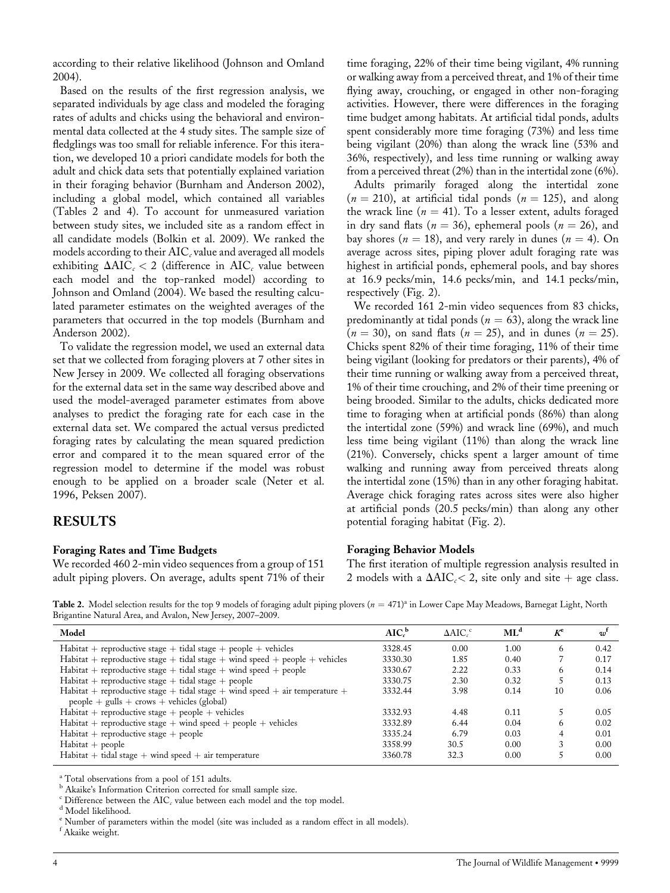according to their relative likelihood (Johnson and Omland 2004).

Based on the results of the first regression analysis, we separated individuals by age class and modeled the foraging rates of adults and chicks using the behavioral and environmental data collected at the 4 study sites. The sample size of fledglings was too small for reliable inference. For this iteration, we developed 10 a priori candidate models for both the adult and chick data sets that potentially explained variation in their foraging behavior (Burnham and Anderson 2002), including a global model, which contained all variables (Tables 2 and 4). To account for unmeasured variation between study sites, we included site as a random effect in all candidate models (Bolkin et al. 2009). We ranked the models according to their  $AIC_c$  value and averaged all models exhibiting  $\Delta AIC_c < 2$  (difference in  $AIC_c$  value between each model and the top-ranked model) according to Johnson and Omland (2004). We based the resulting calculated parameter estimates on the weighted averages of the parameters that occurred in the top models (Burnham and Anderson 2002).

To validate the regression model, we used an external data set that we collected from foraging plovers at 7 other sites in New Jersey in 2009. We collected all foraging observations for the external data set in the same way described above and used the model-averaged parameter estimates from above analyses to predict the foraging rate for each case in the external data set. We compared the actual versus predicted foraging rates by calculating the mean squared prediction error and compared it to the mean squared error of the regression model to determine if the model was robust enough to be applied on a broader scale (Neter et al. 1996, Peksen 2007).

## RESULTS

#### Foraging Rates and Time Budgets

We recorded 460 2-min video sequences from a group of 151 adult piping plovers. On average, adults spent 71% of their

time foraging, 22% of their time being vigilant, 4% running or walking away from a perceived threat, and 1% of their time flying away, crouching, or engaged in other non-foraging activities. However, there were differences in the foraging time budget among habitats. At artificial tidal ponds, adults spent considerably more time foraging (73%) and less time being vigilant (20%) than along the wrack line (53% and 36%, respectively), and less time running or walking away from a perceived threat (2%) than in the intertidal zone (6%).

Adults primarily foraged along the intertidal zone  $(n = 210)$ , at artificial tidal ponds  $(n = 125)$ , and along the wrack line ( $n = 41$ ). To a lesser extent, adults foraged in dry sand flats ( $n = 36$ ), ephemeral pools ( $n = 26$ ), and bay shores ( $n = 18$ ), and very rarely in dunes ( $n = 4$ ). On average across sites, piping plover adult foraging rate was highest in artificial ponds, ephemeral pools, and bay shores at 16.9 pecks/min, 14.6 pecks/min, and 14.1 pecks/min, respectively (Fig. 2).

We recorded 161 2-min video sequences from 83 chicks, predominantly at tidal ponds ( $n = 63$ ), along the wrack line  $(n = 30)$ , on sand flats  $(n = 25)$ , and in dunes  $(n = 25)$ . Chicks spent 82% of their time foraging, 11% of their time being vigilant (looking for predators or their parents), 4% of their time running or walking away from a perceived threat, 1% of their time crouching, and 2% of their time preening or being brooded. Similar to the adults, chicks dedicated more time to foraging when at artificial ponds (86%) than along the intertidal zone (59%) and wrack line (69%), and much less time being vigilant (11%) than along the wrack line (21%). Conversely, chicks spent a larger amount of time walking and running away from perceived threats along the intertidal zone (15%) than in any other foraging habitat. Average chick foraging rates across sites were also higher at artificial ponds (20.5 pecks/min) than along any other potential foraging habitat (Fig. 2).

#### Foraging Behavior Models

The first iteration of multiple regression analysis resulted in 2 models with a  $\Delta AIC_c < 2$ , site only and site + age class.

Table 2. Model selection results for the top 9 models of foraging adult piping plovers  $(n = 471)^{a}$  in Lower Cape May Meadows, Barnegat Light, North Brigantine Natural Area, and Avalon, New Jersey, 2007–2009.

| Model                                                                         | $AIC_c^b$ | $\triangle AIC_{c}$ <sup>c</sup> | ML <sup>d</sup> | $K^e$ | $w^1$ |
|-------------------------------------------------------------------------------|-----------|----------------------------------|-----------------|-------|-------|
| $Habitat + reproductive stage + tidal stage + people + vehicles$              | 3328.45   | 0.00                             | 1.00            | 6     | 0.42  |
| $Habitat + reproductive stage + tidal stage + wind speed + people + vehicles$ | 3330.30   | 1.85                             | 0.40            |       | 0.17  |
| $Habitat + reproductive stage + tidal stage + wind speed + people$            | 3330.67   | 2.22                             | 0.33            | 6     | 0.14  |
| $Habitat + reproductive stage + tidal stage + people$                         | 3330.75   | 2.30                             | 0.32            |       | 0.13  |
| Habitat + reproductive stage + tidal stage + wind speed + air temperature +   | 3332.44   | 3.98                             | 0.14            | 10    | 0.06  |
| $people + gulls + crows + vehicles (global)$                                  |           |                                  |                 |       |       |
| $Habitat + reproductive stage + people + vehicles$                            | 3332.93   | 4.48                             | 0.11            |       | 0.05  |
| $Habitat + reproductive stage + wind speed + people + vehicles$               | 3332.89   | 6.44                             | 0.04            | 6     | 0.02  |
| $Habitat + reproductive stage + people$                                       | 3335.24   | 6.79                             | 0.03            | 4     | 0.01  |
| $Habitat + people$                                                            | 3358.99   | 30.5                             | 0.00            |       | 0.00  |
| $Habitat + tidal stage + wind speed + air temperature$                        | 3360.78   | 32.3                             | 0.00            |       | 0.00  |

<sup>a</sup> Total observations from a pool of 151 adults.

<sup>b</sup> Akaike's Information Criterion corrected for small sample size.

 $^{\rm c}$  Difference between the AIC $_c$  value between each model and the top model.  $^{\rm d}$  Model likelihood.

<sup>e</sup> Number of parameters within the model (site was included as a random effect in all models).

f Akaike weight.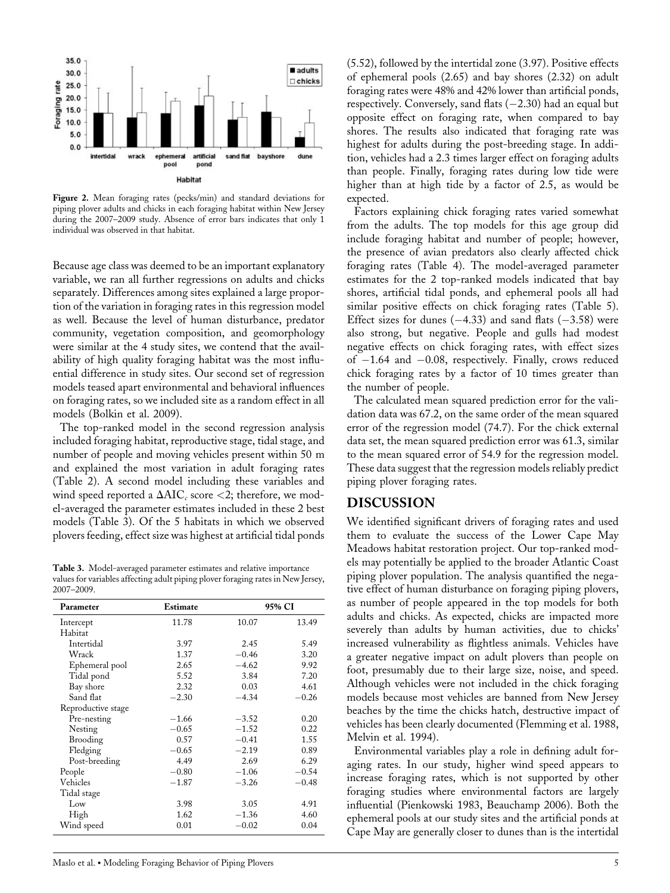

Figure 2. Mean foraging rates (pecks/min) and standard deviations for piping plover adults and chicks in each foraging habitat within New Jersey during the 2007–2009 study. Absence of error bars indicates that only 1 individual was observed in that habitat.

Because age class was deemed to be an important explanatory variable, we ran all further regressions on adults and chicks separately. Differences among sites explained a large proportion of the variation in foraging rates in this regression model as well. Because the level of human disturbance, predator community, vegetation composition, and geomorphology were similar at the 4 study sites, we contend that the availability of high quality foraging habitat was the most influential difference in study sites. Our second set of regression models teased apart environmental and behavioral influences on foraging rates, so we included site as a random effect in all models (Bolkin et al. 2009).

The top-ranked model in the second regression analysis included foraging habitat, reproductive stage, tidal stage, and number of people and moving vehicles present within 50 m and explained the most variation in adult foraging rates (Table 2). A second model including these variables and wind speed reported a  $\Delta AIC_c$  score <2; therefore, we model-averaged the parameter estimates included in these 2 best models (Table 3). Of the 5 habitats in which we observed plovers feeding, effect size was highest at artificial tidal ponds

Table 3. Model-averaged parameter estimates and relative importance values for variables affecting adult piping plover foraging rates in New Jersey, 2007–2009.

| Parameter          | Estimate | 95% CI  |         |
|--------------------|----------|---------|---------|
| Intercept          | 11.78    | 10.07   | 13.49   |
| Habitat            |          |         |         |
| Intertidal         | 3.97     | 2.45    | 5.49    |
| Wrack              | 1.37     | $-0.46$ | 3.20    |
| Ephemeral pool     | 2.65     | $-4.62$ | 9.92    |
| Tidal pond         | 5.52     | 3.84    | 7.20    |
| Bay shore          | 2.32     | 0.03    | 4.61    |
| Sand flat          | $-2.30$  | $-4.34$ | $-0.26$ |
| Reproductive stage |          |         |         |
| Pre-nesting        | $-1.66$  | $-3.52$ | 0.20    |
| Nesting            | $-0.65$  | $-1.52$ | 0.22    |
| Brooding           | 0.57     | $-0.41$ | 1.55    |
| Fledging           | $-0.65$  | $-2.19$ | 0.89    |
| Post-breeding      | 4.49     | 2.69    | 6.29    |
| People             | $-0.80$  | $-1.06$ | $-0.54$ |
| Vehicles           | $-1.87$  | $-3.26$ | $-0.48$ |
| Tidal stage        |          |         |         |
| Low                | 3.98     | 3.05    | 4.91    |
| High               | 1.62     | $-1.36$ | 4.60    |
| Wind speed         | 0.01     | $-0.02$ | 0.04    |

(5.52), followed by the intertidal zone (3.97). Positive effects of ephemeral pools (2.65) and bay shores (2.32) on adult foraging rates were 48% and 42% lower than artificial ponds, respectively. Conversely, sand flats  $(-2.30)$  had an equal but opposite effect on foraging rate, when compared to bay shores. The results also indicated that foraging rate was highest for adults during the post-breeding stage. In addition, vehicles had a 2.3 times larger effect on foraging adults than people. Finally, foraging rates during low tide were higher than at high tide by a factor of 2.5, as would be expected.

Factors explaining chick foraging rates varied somewhat from the adults. The top models for this age group did include foraging habitat and number of people; however, the presence of avian predators also clearly affected chick foraging rates (Table 4). The model-averaged parameter estimates for the 2 top-ranked models indicated that bay shores, artificial tidal ponds, and ephemeral pools all had similar positive effects on chick foraging rates (Table 5). Effect sizes for dunes  $(-4.33)$  and sand flats  $(-3.58)$  were also strong, but negative. People and gulls had modest negative effects on chick foraging rates, with effect sizes of -1.64 and -0.08, respectively. Finally, crows reduced chick foraging rates by a factor of 10 times greater than the number of people.

The calculated mean squared prediction error for the validation data was 67.2, on the same order of the mean squared error of the regression model (74.7). For the chick external data set, the mean squared prediction error was 61.3, similar to the mean squared error of 54.9 for the regression model. These data suggest that the regression models reliably predict piping plover foraging rates.

## DISCUSSION

We identified significant drivers of foraging rates and used them to evaluate the success of the Lower Cape May Meadows habitat restoration project. Our top-ranked models may potentially be applied to the broader Atlantic Coast piping plover population. The analysis quantified the negative effect of human disturbance on foraging piping plovers, as number of people appeared in the top models for both adults and chicks. As expected, chicks are impacted more severely than adults by human activities, due to chicks' increased vulnerability as flightless animals. Vehicles have a greater negative impact on adult plovers than people on foot, presumably due to their large size, noise, and speed. Although vehicles were not included in the chick foraging models because most vehicles are banned from New Jersey beaches by the time the chicks hatch, destructive impact of vehicles has been clearly documented (Flemming et al. 1988, Melvin et al. 1994).

Environmental variables play a role in defining adult foraging rates. In our study, higher wind speed appears to increase foraging rates, which is not supported by other foraging studies where environmental factors are largely influential (Pienkowski 1983, Beauchamp 2006). Both the ephemeral pools at our study sites and the artificial ponds at Cape May are generally closer to dunes than is the intertidal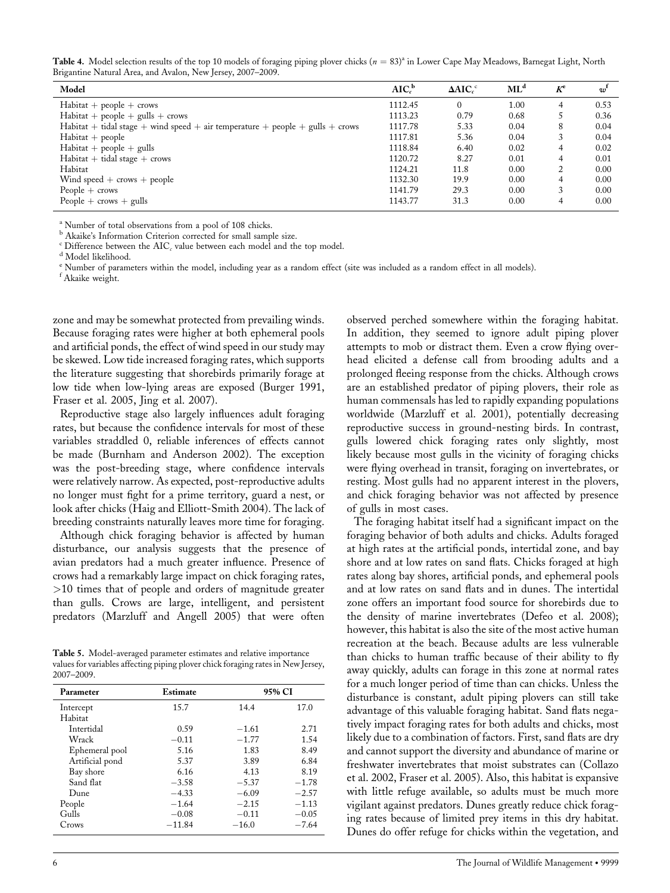Table 4. Model selection results of the top 10 models of foraging piping plover chicks  $(n = 83)^4$  in Lower Cape May Meadows, Barnegat Light, North Brigantine Natural Area, and Avalon, New Jersey, 2007–2009.

| Model                                                                           | $AIC_c^b$ | $\Delta AIC_c^c$ | $ML^d$ | $K^e$         | w    |
|---------------------------------------------------------------------------------|-----------|------------------|--------|---------------|------|
| $Habitat + people + crows$                                                      | 1112.45   | $\Omega$         | 1.00   | 4             | 0.53 |
| $Habitat + people + gulls + crows$                                              | 1113.23   | 0.79             | 0.68   |               | 0.36 |
| $Habitat + tidal stage + wind speed + air temperature + people + gulls + crows$ | 1117.78   | 5.33             | 0.04   | 8             | 0.04 |
| $Habitat + people$                                                              | 1117.81   | 5.36             | 0.04   | 3             | 0.04 |
| $Habitat + people + gulls$                                                      | 1118.84   | 6.40             | 0.02   | 4             | 0.02 |
| $Habitat + tidal stage + crows$                                                 | 1120.72   | 8.27             | 0.01   | 4             | 0.01 |
| Habitat                                                                         | 1124.21   | 11.8             | 0.00   | $\mathcal{L}$ | 0.00 |
| Wind speed $+$ crows $+$ people                                                 | 1132.30   | 19.9             | 0.00   | 4             | 0.00 |
| People $+$ crows                                                                | 1141.79   | 29.3             | 0.00   | 3             | 0.00 |
| People $+$ crows $+$ gulls                                                      | 1143.77   | 31.3             | 0.00   | 4             | 0.00 |

<sup>a</sup> Number of total observations from a pool of 108 chicks.

<sup>b</sup> Akaike's Information Criterion corrected for small sample size.

 $\rm ^c$  Difference between the AIC $_{c}$  value between each model and the top model.  $\rm ^d$  Model likelihood.

<sup>e</sup> Number of parameters within the model, including year as a random effect (site was included as a random effect in all models).

f Akaike weight.

zone and may be somewhat protected from prevailing winds. Because foraging rates were higher at both ephemeral pools and artificial ponds, the effect of wind speed in our study may be skewed. Low tide increased foraging rates, which supports the literature suggesting that shorebirds primarily forage at low tide when low-lying areas are exposed (Burger 1991, Fraser et al. 2005, Jing et al. 2007).

Reproductive stage also largely influences adult foraging rates, but because the confidence intervals for most of these variables straddled 0, reliable inferences of effects cannot be made (Burnham and Anderson 2002). The exception was the post-breeding stage, where confidence intervals were relatively narrow. As expected, post-reproductive adults no longer must fight for a prime territory, guard a nest, or look after chicks (Haig and Elliott-Smith 2004). The lack of breeding constraints naturally leaves more time for foraging.

Although chick foraging behavior is affected by human disturbance, our analysis suggests that the presence of avian predators had a much greater influence. Presence of crows had a remarkably large impact on chick foraging rates, >10 times that of people and orders of magnitude greater than gulls. Crows are large, intelligent, and persistent predators (Marzluff and Angell 2005) that were often

Table 5. Model-averaged parameter estimates and relative importance values for variables affecting piping plover chick foraging rates in New Jersey, 2007–2009.

| Parameter       | Estimate | 95% CI  |         |
|-----------------|----------|---------|---------|
| Intercept       | 15.7     | 14.4    | 17.0    |
| Habitat         |          |         |         |
| Intertidal      | 0.59     | $-1.61$ | 2.71    |
| Wrack           | $-0.11$  | $-1.77$ | 1.54    |
| Ephemeral pool  | 5.16     | 1.83    | 8.49    |
| Artificial pond | 5.37     | 3.89    | 6.84    |
| Bay shore       | 6.16     | 4.13    | 8.19    |
| Sand flat       | $-3.58$  | $-5.37$ | $-1.78$ |
| Dune            | $-4.33$  | $-6.09$ | $-2.57$ |
| People          | $-1.64$  | $-2.15$ | $-1.13$ |
| Gulls           | $-0.08$  | $-0.11$ | $-0.05$ |
| Crows           | $-11.84$ | $-16.0$ | $-7.64$ |

observed perched somewhere within the foraging habitat. In addition, they seemed to ignore adult piping plover attempts to mob or distract them. Even a crow flying overhead elicited a defense call from brooding adults and a prolonged fleeing response from the chicks. Although crows are an established predator of piping plovers, their role as human commensals has led to rapidly expanding populations worldwide (Marzluff et al. 2001), potentially decreasing reproductive success in ground-nesting birds. In contrast, gulls lowered chick foraging rates only slightly, most likely because most gulls in the vicinity of foraging chicks were flying overhead in transit, foraging on invertebrates, or resting. Most gulls had no apparent interest in the plovers, and chick foraging behavior was not affected by presence of gulls in most cases.

The foraging habitat itself had a significant impact on the foraging behavior of both adults and chicks. Adults foraged at high rates at the artificial ponds, intertidal zone, and bay shore and at low rates on sand flats. Chicks foraged at high rates along bay shores, artificial ponds, and ephemeral pools and at low rates on sand flats and in dunes. The intertidal zone offers an important food source for shorebirds due to the density of marine invertebrates (Defeo et al. 2008); however, this habitat is also the site of the most active human recreation at the beach. Because adults are less vulnerable than chicks to human traffic because of their ability to fly away quickly, adults can forage in this zone at normal rates for a much longer period of time than can chicks. Unless the disturbance is constant, adult piping plovers can still take advantage of this valuable foraging habitat. Sand flats negatively impact foraging rates for both adults and chicks, most likely due to a combination of factors. First, sand flats are dry and cannot support the diversity and abundance of marine or freshwater invertebrates that moist substrates can (Collazo et al. 2002, Fraser et al. 2005). Also, this habitat is expansive with little refuge available, so adults must be much more vigilant against predators. Dunes greatly reduce chick foraging rates because of limited prey items in this dry habitat. Dunes do offer refuge for chicks within the vegetation, and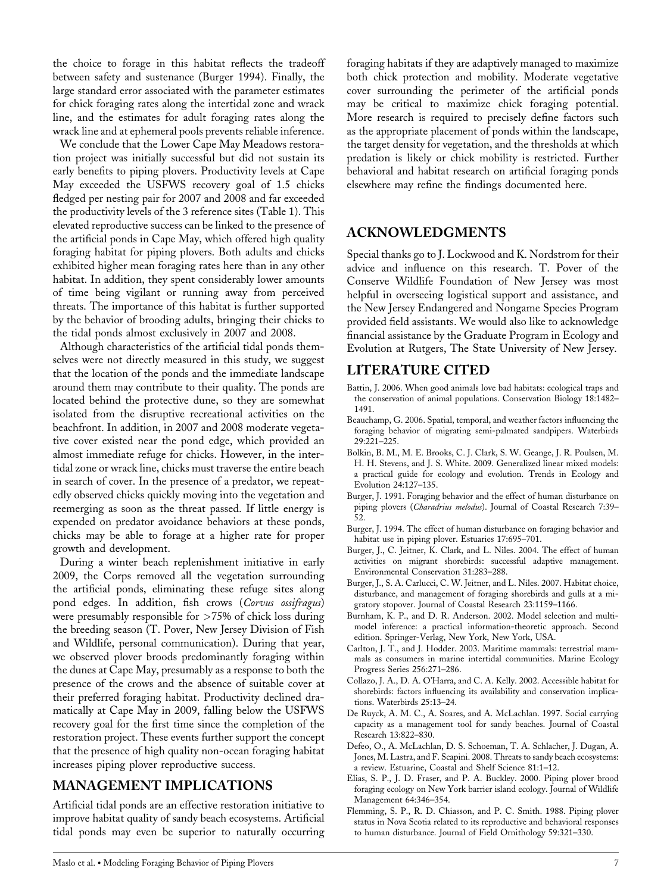the choice to forage in this habitat reflects the tradeoff between safety and sustenance (Burger 1994). Finally, the large standard error associated with the parameter estimates for chick foraging rates along the intertidal zone and wrack line, and the estimates for adult foraging rates along the wrack line and at ephemeral pools prevents reliable inference.

We conclude that the Lower Cape May Meadows restoration project was initially successful but did not sustain its early benefits to piping plovers. Productivity levels at Cape May exceeded the USFWS recovery goal of 1.5 chicks fledged per nesting pair for 2007 and 2008 and far exceeded the productivity levels of the 3 reference sites (Table 1). This elevated reproductive success can be linked to the presence of the artificial ponds in Cape May, which offered high quality foraging habitat for piping plovers. Both adults and chicks exhibited higher mean foraging rates here than in any other habitat. In addition, they spent considerably lower amounts of time being vigilant or running away from perceived threats. The importance of this habitat is further supported by the behavior of brooding adults, bringing their chicks to the tidal ponds almost exclusively in 2007 and 2008.

Although characteristics of the artificial tidal ponds themselves were not directly measured in this study, we suggest that the location of the ponds and the immediate landscape around them may contribute to their quality. The ponds are located behind the protective dune, so they are somewhat isolated from the disruptive recreational activities on the beachfront. In addition, in 2007 and 2008 moderate vegetative cover existed near the pond edge, which provided an almost immediate refuge for chicks. However, in the intertidal zone or wrack line, chicks must traverse the entire beach in search of cover. In the presence of a predator, we repeatedly observed chicks quickly moving into the vegetation and reemerging as soon as the threat passed. If little energy is expended on predator avoidance behaviors at these ponds, chicks may be able to forage at a higher rate for proper growth and development.

During a winter beach replenishment initiative in early 2009, the Corps removed all the vegetation surrounding the artificial ponds, eliminating these refuge sites along pond edges. In addition, fish crows (Corvus ossifragus) were presumably responsible for  $>75\%$  of chick loss during the breeding season (T. Pover, New Jersey Division of Fish and Wildlife, personal communication). During that year, we observed plover broods predominantly foraging within the dunes at Cape May, presumably as a response to both the presence of the crows and the absence of suitable cover at their preferred foraging habitat. Productivity declined dramatically at Cape May in 2009, falling below the USFWS recovery goal for the first time since the completion of the restoration project. These events further support the concept that the presence of high quality non-ocean foraging habitat increases piping plover reproductive success.

# MANAGEMENT IMPLICATIONS

Artificial tidal ponds are an effective restoration initiative to improve habitat quality of sandy beach ecosystems. Artificial tidal ponds may even be superior to naturally occurring foraging habitats if they are adaptively managed to maximize both chick protection and mobility. Moderate vegetative cover surrounding the perimeter of the artificial ponds may be critical to maximize chick foraging potential. More research is required to precisely define factors such as the appropriate placement of ponds within the landscape, the target density for vegetation, and the thresholds at which predation is likely or chick mobility is restricted. Further behavioral and habitat research on artificial foraging ponds elsewhere may refine the findings documented here.

# ACKNOWLEDGMENTS

Special thanks go to J. Lockwood and K. Nordstrom for their advice and influence on this research. T. Pover of the Conserve Wildlife Foundation of New Jersey was most helpful in overseeing logistical support and assistance, and the New Jersey Endangered and Nongame Species Program provided field assistants. We would also like to acknowledge financial assistance by the Graduate Program in Ecology and Evolution at Rutgers, The State University of New Jersey.

# LITERATURE CITED

- Battin, J. 2006. When good animals love bad habitats: ecological traps and the conservation of animal populations. Conservation Biology 18:1482– 1491.
- Beauchamp, G. 2006. Spatial, temporal, and weather factors influencing the foraging behavior of migrating semi-palmated sandpipers. Waterbirds 29:221–225.
- Bolkin, B. M., M. E. Brooks, C. J. Clark, S. W. Geange, J. R. Poulsen, M. H. H. Stevens, and J. S. White. 2009. Generalized linear mixed models: a practical guide for ecology and evolution. Trends in Ecology and Evolution 24:127–135.
- Burger, J. 1991. Foraging behavior and the effect of human disturbance on piping plovers (Charadrius melodus). Journal of Coastal Research 7:39-52.
- Burger, J. 1994. The effect of human disturbance on foraging behavior and habitat use in piping plover. Estuaries 17:695–701.
- Burger, J., C. Jeitner, K. Clark, and L. Niles. 2004. The effect of human activities on migrant shorebirds: successful adaptive management. Environmental Conservation 31:283–288.
- Burger, J., S. A. Carlucci, C. W. Jeitner, and L. Niles. 2007. Habitat choice, disturbance, and management of foraging shorebirds and gulls at a migratory stopover. Journal of Coastal Research 23:1159–1166.
- Burnham, K. P., and D. R. Anderson. 2002. Model selection and multimodel inference: a practical information-theoretic approach. Second edition. Springer-Verlag, New York, New York, USA.
- Carlton, J. T., and J. Hodder. 2003. Maritime mammals: terrestrial mammals as consumers in marine intertidal communities. Marine Ecology Progress Series 256:271–286.
- Collazo, J. A., D. A. O'Harra, and C. A. Kelly. 2002. Accessible habitat for shorebirds: factors influencing its availability and conservation implications. Waterbirds 25:13–24.
- De Ruyck, A. M. C., A. Soares, and A. McLachlan. 1997. Social carrying capacity as a management tool for sandy beaches. Journal of Coastal Research 13:822–830.
- Defeo, O., A. McLachlan, D. S. Schoeman, T. A. Schlacher, J. Dugan, A. Jones, M. Lastra, and F. Scapini. 2008. Threats to sandy beach ecosystems: a review. Estuarine, Coastal and Shelf Science 81:1–12.
- Elias, S. P., J. D. Fraser, and P. A. Buckley. 2000. Piping plover brood foraging ecology on New York barrier island ecology. Journal of Wildlife Management 64:346–354.
- Flemming, S. P., R. D. Chiasson, and P. C. Smith. 1988. Piping plover status in Nova Scotia related to its reproductive and behavioral responses to human disturbance. Journal of Field Ornithology 59:321–330.